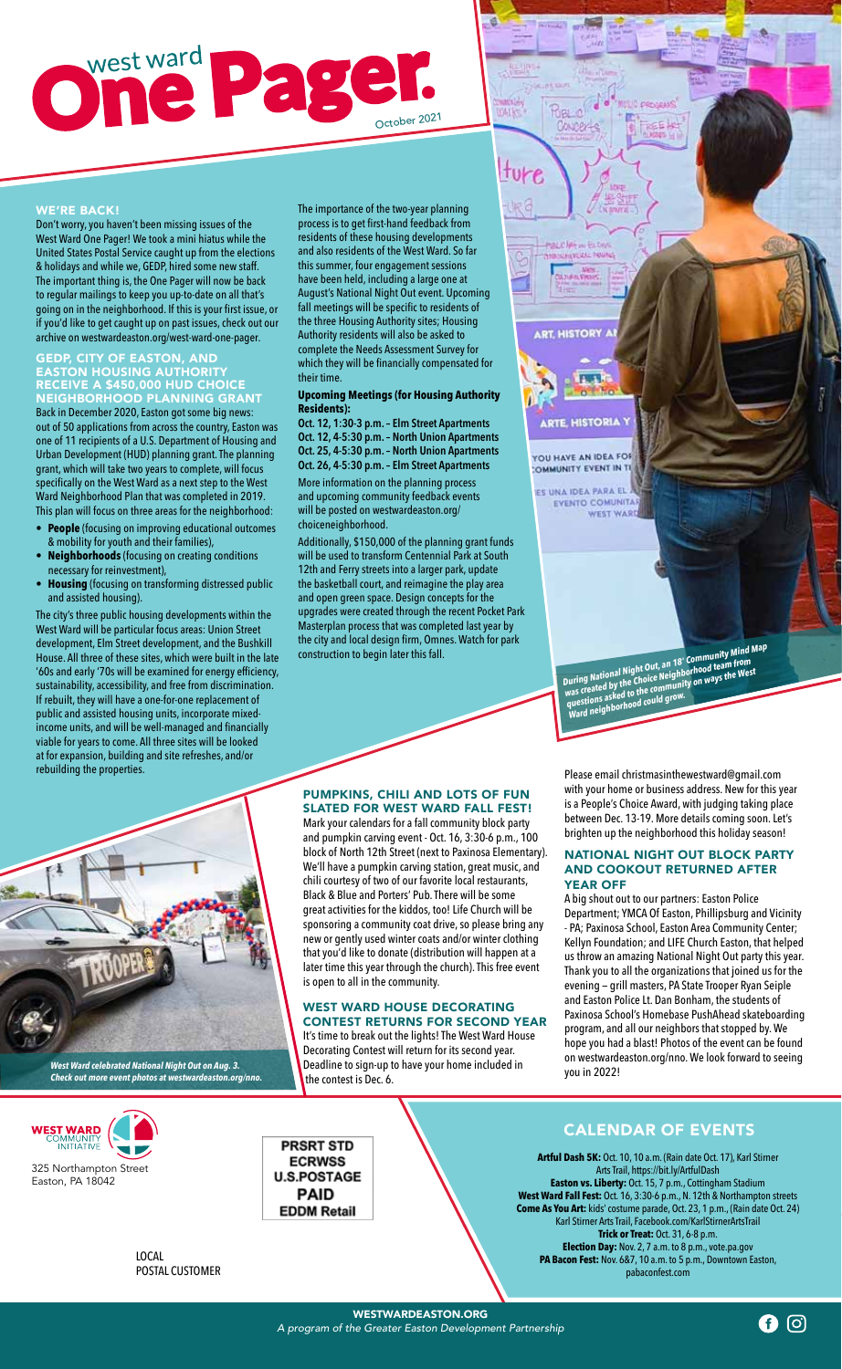## One Page

WE'RE BACK!

Don't worry, you haven't been missing issues of the West Ward One Pager! We took a mini hiatus while the United States Postal Service caught up from the elections & holidays and while we, GEDP, hired some new staff. The important thing is, the One Pager will now be back to regular mailings to keep you up-to-date on all that's going on in the neighborhood. If this is your first issue, or if you'd like to get caught up on past issues, check out our archive on westwardeaston.org/west-ward-one-pager.

### GEDP, CITY OF EASTON, AND EASTON HOUSING AUTHORITY RECEIVE A \$450,000 HUD CHOICE

NEIGHBORHOOD PLANNING GRANT Back in December 2020, Easton got some big news: out of 50 applications from across the country, Easton was one of 11 recipients of a U.S. Department of Housing and Urban Development (HUD) planning grant. The planning grant, which will take two years to complete, will focus specifically on the West Ward as a next step to the West Ward Neighborhood Plan that was completed in 2019. This plan will focus on three areas for the neighborhood:

- **• People** (focusing on improving educational outcomes & mobility for youth and their families),
- **• Neighborhoods** (focusing on creating conditions necessary for reinvestment),
- **• Housing** (focusing on transforming distressed public and assisted housing).

The city's three public housing developments within the West Ward will be particular focus areas: Union Street development, Elm Street development, and the Bushkill House. All three of these sites, which were built in the late '60s and early '70s will be examined for energy efficiency, sustainability, accessibility, and free from discrimination. If rebuilt, they will have a one-for-one replacement of public and assisted housing units, incorporate mixedincome units, and will be well-managed and financially viable for years to come. All three sites will be looked at for expansion, building and site refreshes, and/or rebuilding the properties.



*West Ward celebrated National Night Out on Aug. 3. Check out more event photos at westwardeaston.org/nno.*



LOCAL POSTAL CUSTOMER The importance of the two-year planning process is to get first-hand feedback from residents of these housing developments and also residents of the West Ward. So far this summer, four engagement sessions have been held, including a large one at August's National Night Out event. Upcoming fall meetings will be specific to residents of the three Housing Authority sites; Housing Authority residents will also be asked to complete the Needs Assessment Survey for which they will be financially compensated for their time.

16

**WALKS** 

ture

Coung

MON.<br>M.Tukan Vysies

### **Upcoming Meetings (for Housing Authority Residents):**

**Oct. 12, 1:30-3 p.m. – Elm Street Apartments Oct. 12, 4-5:30 p.m. – North Union Apartments Oct. 25, 4-5:30 p.m. – North Union Apartments Oct. 26, 4-5:30 p.m. – Elm Street Apartments**  More information on the planning process and upcoming community feedback events will be posted on westwardeaston.org/ choiceneighborhood.

Additionally, \$150,000 of the planning grant funds will be used to transform Centennial Park at South 12th and Ferry streets into a larger park, update the basketball court, and reimagine the play area and open green space. Design concepts for the upgrades were created through the recent Pocket Park Masterplan process that was completed last year by the city and local design firm, Omnes. Watch for park construction to begin later this fall.



**Thealth** 

*During National Night Out, an 18' Community Mind Map*  **was created by the Choice Neighborhood team from** ways the West was created by the Choice Neighborhood came west<br>was created by the Choice Neighborhood team from<br>questions asked to the community on ways the West<br>ward neig

### PUMPKINS, CHILI AND LOTS OF FUN SLATED FOR WEST WARD FALL FEST!

Mark your calendars for a fall community block party and pumpkin carving event - Oct. 16, 3:30-6 p.m., 100 block of North 12th Street (next to Paxinosa Elementary). We'll have a pumpkin carving station, great music, and chili courtesy of two of our favorite local restaurants, Black & Blue and Porters' Pub. There will be some great activities for the kiddos, too! Life Church will be sponsoring a community coat drive, so please bring any new or gently used winter coats and/or winter clothing that you'd like to donate (distribution will happen at a later time this year through the church). This free event is open to all in the community.

## WEST WARD HOUSE DECORATING

CONTEST RETURNS FOR SECOND YEAR It's time to break out the lights! The West Ward House Decorating Contest will return for its second year. Deadline to sign-up to have your home included in the contest is Dec. 6.

Please email christmasinthewestward@gmail.com with your home or business address. New for this year is a People's Choice Award, with judging taking place between Dec. 13-19. More details coming soon. Let's brighten up the neighborhood this holiday season!

### NATIONAL NIGHT OUT BLOCK PARTY AND COOKOUT RETURNED AFTER YEAR OFF

A big shout out to our partners: Easton Police Department; YMCA Of Easton, Phillipsburg and Vicinity - PA; Paxinosa School, Easton Area Community Center; Kellyn Foundation; and LIFE Church Easton, that helped us throw an amazing National Night Out party this year. Thank you to all the organizations that joined us for the evening — grill masters, PA State Trooper Ryan Seiple and Easton Police Lt. Dan Bonham, the students of Paxinosa School's Homebase PushAhead skateboarding program, and all our neighbors that stopped by. We hope you had a blast! Photos of the event can be found on westwardeaston.org/nno. We look forward to seeing you in 2022!

**PRSRT STD FCRWSS U.S.POSTAGE PAID EDDM Retail** 

CALENDAR OF EVENTS

**Artful Dash 5K:** Oct. 10, 10 a.m. (Rain date Oct. 17), Karl Stirner Arts Trail, https://bit.ly/ArtfulDash **Easton vs. Liberty:** Oct. 15, 7 p.m., Cottingham Stadium **West Ward Fall Fest:** Oct. 16, 3:30-6 p.m., N. 12th & Northampton streets **Come As You Art:** kids' costume parade, Oct. 23, 1 p.m., (Rain date Oct. 24) Karl Stirner Arts Trail, Facebook.com/KarlStirnerArtsTrail **Trick or Treat:** Oct. 31, 6-8 p.m. **Election Day:** Nov. 2, 7 a.m. to 8 p.m., vote.pa.gov **PA Bacon Fest:** Nov. 6&7, 10 a.m. to 5 p.m., Downtown Easton, pabaconfest.com

**ි** ල